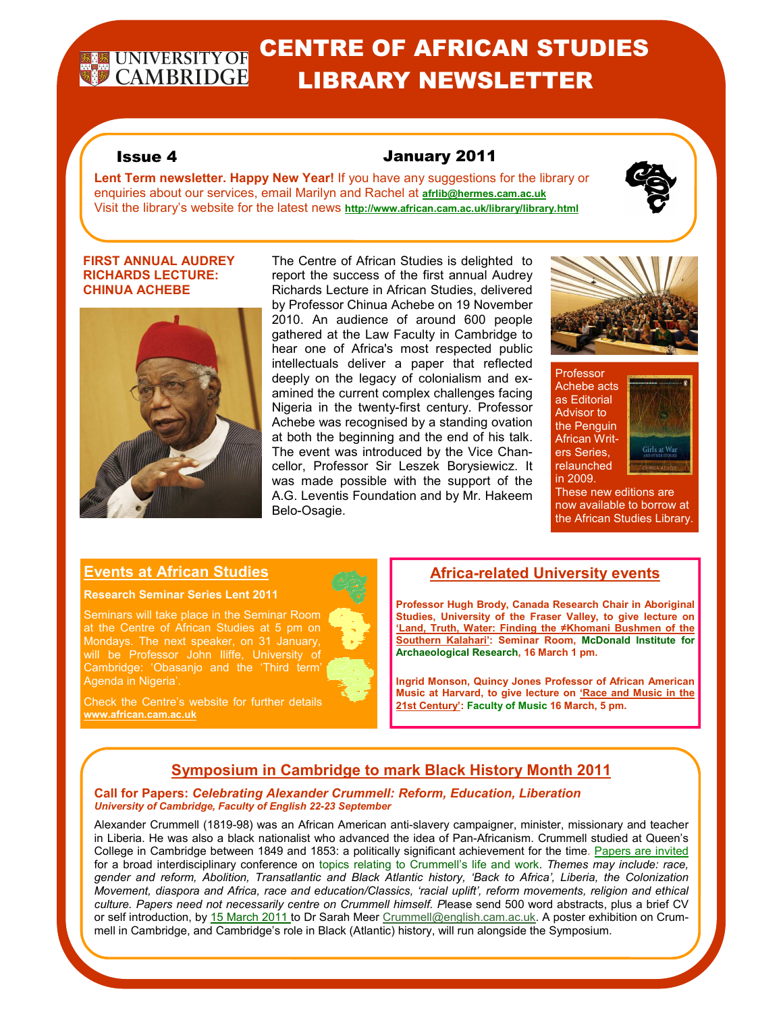# **REQUINDERSITYOR CENTRE OF AFRICAN STUDIES** LIBRARY NEWSLETTER

# Issue 4 January 2011

**Lent Term newsletter. Happy New Year!** If you have any suggestions for the library or enquiries about our services, email Marilyn and Rachel at **afrlib@hermes.cam.ac.uk** Visit the library's website for the latest news **http://www.african.cam.ac.uk/library/library.html**

### **FIRST ANNUAL AUDREY RICHARDS LECTURE: CHINUA ACHEBE**



The Centre of African Studies is delighted to report the success of the first annual Audrey Richards Lecture in African Studies, delivered by Professor Chinua Achebe on 19 November 2010. An audience of around 600 people gathered at the Law Faculty in Cambridge to hear one of Africa's most respected public intellectuals deliver a paper that reflected deeply on the legacy of colonialism and examined the current complex challenges facing Nigeria in the twenty-first century. Professor Achebe was recognised by a standing ovation at both the beginning and the end of his talk. The event was introduced by the Vice Chancellor, Professor Sir Leszek Borysiewicz. It was made possible with the support of the A.G. Leventis Foundation and by Mr. Hakeem Belo-Osagie.



#### Professor Achebe acts as Editorial Advisor to the Penguin African Writers Series, relaunched in 2009.



These new editions are now available to borrow at the African Studies Library.

# **Events at African Studies**

#### **Research Seminar Series Lent 2011**

Seminars will take place in the Seminar Room at the Centre of African Studies at 5 pm on Mondays. The next speaker, on 31 January, will be Professor John Iliffe, University of Cambridge: 'Obasanjo and the 'Third term' Agenda in Nigeria'.



**Africa-related University events** 

**Professor Hugh Brody, Canada Research Chair in Aboriginal Studies, University of the Fraser Valley, to give lecture on 'Land, Truth, Water: Finding the ≠Khomani Bushmen of the Southern Kalahari': Seminar Room, McDonald Institute for Archaeological Research, 16 March 1 pm.**

**Ingrid Monson, Quincy Jones Professor of African American Music at Harvard, to give lecture on 'Race and Music in the 21st Century': Faculty of Music 16 March, 5 pm.** 

# **www.african.cam.ac.uk**

# **Symposium in Cambridge to mark Black History Month 2011**

#### **Call for Papers:** *Celebrating Alexander Crummell: Reform, Education, Liberation University of Cambridge, Faculty of English 22-23 September*

Alexander Crummell (1819-98) was an African American anti-slavery campaigner, minister, missionary and teacher in Liberia. He was also a black nationalist who advanced the idea of Pan-Africanism. Crummell studied at Queen's College in Cambridge between 1849 and 1853: a politically significant achievement for the time. Papers are invited for a broad interdisciplinary conference on topics relating to Crummell's life and work. *Themes may include: race, gender and reform, Abolition, Transatlantic and Black Atlantic history, 'Back to Africa', Liberia, the Colonization Movement, diaspora and Africa, race and education/Classics, 'racial uplift', reform movements, religion and ethical culture. Papers need not necessarily centre on Crummell himself. P*lease send 500 word abstracts, plus a brief CV or self introduction, by 15 March 2011 to Dr Sarah Meer Crummell@english.cam.ac.uk. A poster exhibition on Crummell in Cambridge, and Cambridge's role in Black (Atlantic) history, will run alongside the Symposium.